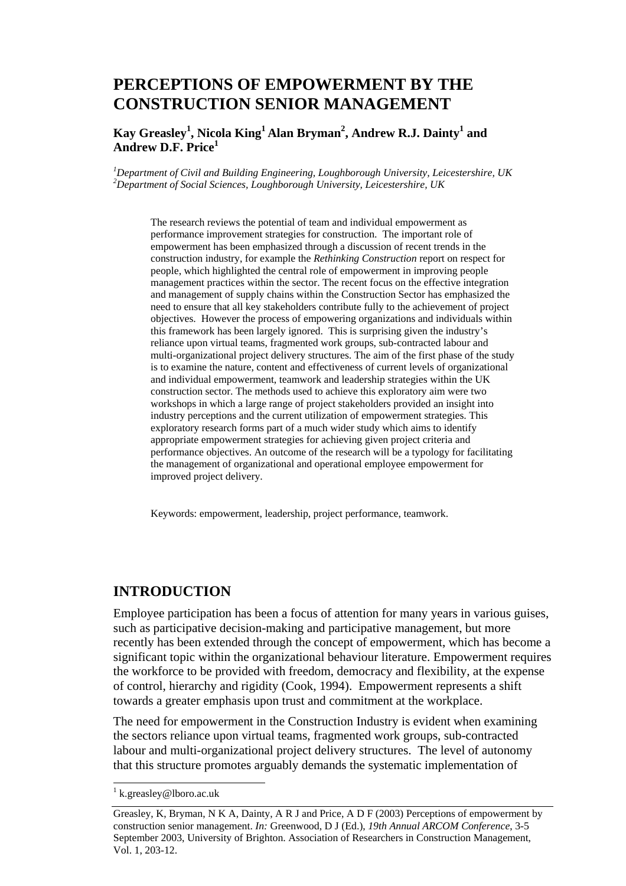# **PERCEPTIONS OF EMPOWERMENT BY THE CONSTRUCTION SENIOR MANAGEMENT**

### $\mathbf{Kay}$  Greasley<sup>1</sup>, Nicola  $\mathbf{King}^1$  Alan Bryman<sup>2</sup>, Andrew R.J. Dainty<sup>1</sup> and **Andrew D.F. Price<sup>1</sup>**

*1 Department of Civil and Building Engineering, Loughborough University, Leicestershire, UK 2 Department of Social Sciences, Loughborough University, Leicestershire, UK* 

The research reviews the potential of team and individual empowerment as performance improvement strategies for construction. The important role of empowerment has been emphasized through a discussion of recent trends in the construction industry, for example the *Rethinking Construction* report on respect for people, which highlighted the central role of empowerment in improving people management practices within the sector. The recent focus on the effective integration and management of supply chains within the Construction Sector has emphasized the need to ensure that all key stakeholders contribute fully to the achievement of project objectives. However the process of empowering organizations and individuals within this framework has been largely ignored. This is surprising given the industry's reliance upon virtual teams, fragmented work groups, sub-contracted labour and multi-organizational project delivery structures. The aim of the first phase of the study is to examine the nature, content and effectiveness of current levels of organizational and individual empowerment, teamwork and leadership strategies within the UK construction sector. The methods used to achieve this exploratory aim were two workshops in which a large range of project stakeholders provided an insight into industry perceptions and the current utilization of empowerment strategies. This exploratory research forms part of a much wider study which aims to identify appropriate empowerment strategies for achieving given project criteria and performance objectives. An outcome of the research will be a typology for facilitating the management of organizational and operational employee empowerment for improved project delivery.

Keywords: empowerment, leadership, project performance, teamwork.

### **INTRODUCTION**

Employee participation has been a focus of attention for many years in various guises, such as participative decision-making and participative management, but more recently has been extended through the concept of empowerment, which has become a significant topic within the organizational behaviour literature. Empowerment requires the workforce to be provided with freedom, democracy and flexibility, at the expense of control, hierarchy and rigidity (Cook, 1994). Empowerment represents a shift towards a greater emphasis upon trust and commitment at the workplace.

The need for empowerment in the Construction Industry is evident when examining the sectors reliance upon virtual teams, fragmented work groups, sub-contracted labour and multi-organizational project delivery structures. The level of autonomy that this structure promotes arguably demands the systematic implementation of

l

<sup>&</sup>lt;sup>1</sup> k.greasley@lboro.ac.uk

Greasley, K, Bryman, N K A, Dainty, A R J and Price, A D F (2003) Perceptions of empowerment by construction senior management. *In:* Greenwood, D J (Ed.), *19th Annual ARCOM Conference*, 3-5 September 2003, University of Brighton. Association of Researchers in Construction Management, Vol. 1, 203-12.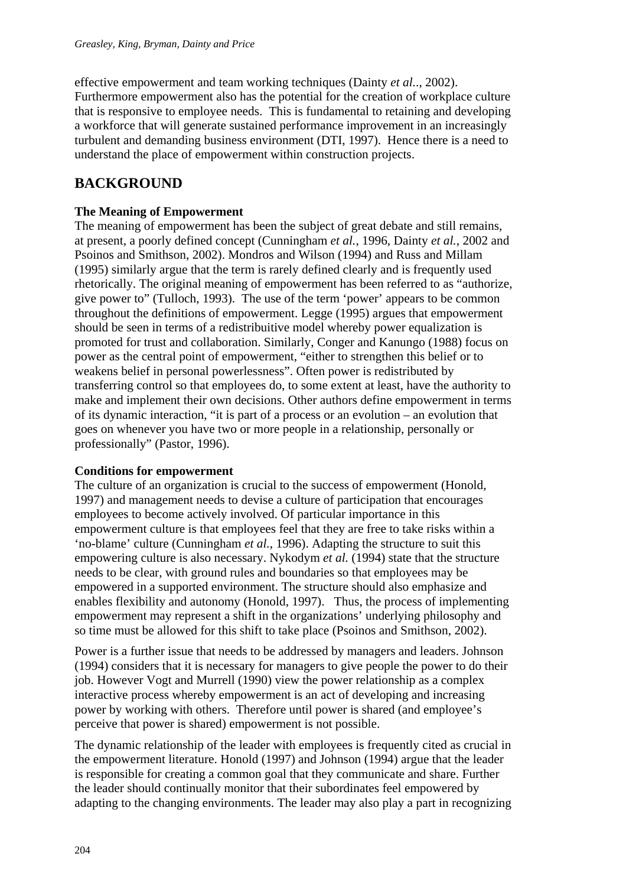effective empowerment and team working techniques (Dainty *et al.*., 2002). Furthermore empowerment also has the potential for the creation of workplace culture that is responsive to employee needs. This is fundamental to retaining and developing a workforce that will generate sustained performance improvement in an increasingly turbulent and demanding business environment (DTI, 1997). Hence there is a need to understand the place of empowerment within construction projects.

# **BACKGROUND**

### **The Meaning of Empowerment**

The meaning of empowerment has been the subject of great debate and still remains, at present, a poorly defined concept (Cunningham *et al.*, 1996, Dainty *et al.*, 2002 and Psoinos and Smithson, 2002). Mondros and Wilson (1994) and Russ and Millam (1995) similarly argue that the term is rarely defined clearly and is frequently used rhetorically. The original meaning of empowerment has been referred to as "authorize, give power to" (Tulloch, 1993). The use of the term 'power' appears to be common throughout the definitions of empowerment. Legge (1995) argues that empowerment should be seen in terms of a redistribuitive model whereby power equalization is promoted for trust and collaboration. Similarly, Conger and Kanungo (1988) focus on power as the central point of empowerment, "either to strengthen this belief or to weakens belief in personal powerlessness". Often power is redistributed by transferring control so that employees do, to some extent at least, have the authority to make and implement their own decisions. Other authors define empowerment in terms of its dynamic interaction, "it is part of a process or an evolution – an evolution that goes on whenever you have two or more people in a relationship, personally or professionally" (Pastor, 1996).

#### **Conditions for empowerment**

The culture of an organization is crucial to the success of empowerment (Honold, 1997) and management needs to devise a culture of participation that encourages employees to become actively involved. Of particular importance in this empowerment culture is that employees feel that they are free to take risks within a 'no-blame' culture (Cunningham *et al.*, 1996). Adapting the structure to suit this empowering culture is also necessary. Nykodym *et al.* (1994) state that the structure needs to be clear, with ground rules and boundaries so that employees may be empowered in a supported environment. The structure should also emphasize and enables flexibility and autonomy (Honold, 1997). Thus, the process of implementing empowerment may represent a shift in the organizations' underlying philosophy and so time must be allowed for this shift to take place (Psoinos and Smithson, 2002).

Power is a further issue that needs to be addressed by managers and leaders. Johnson (1994) considers that it is necessary for managers to give people the power to do their job. However Vogt and Murrell (1990) view the power relationship as a complex interactive process whereby empowerment is an act of developing and increasing power by working with others. Therefore until power is shared (and employee's perceive that power is shared) empowerment is not possible.

The dynamic relationship of the leader with employees is frequently cited as crucial in the empowerment literature. Honold (1997) and Johnson (1994) argue that the leader is responsible for creating a common goal that they communicate and share. Further the leader should continually monitor that their subordinates feel empowered by adapting to the changing environments. The leader may also play a part in recognizing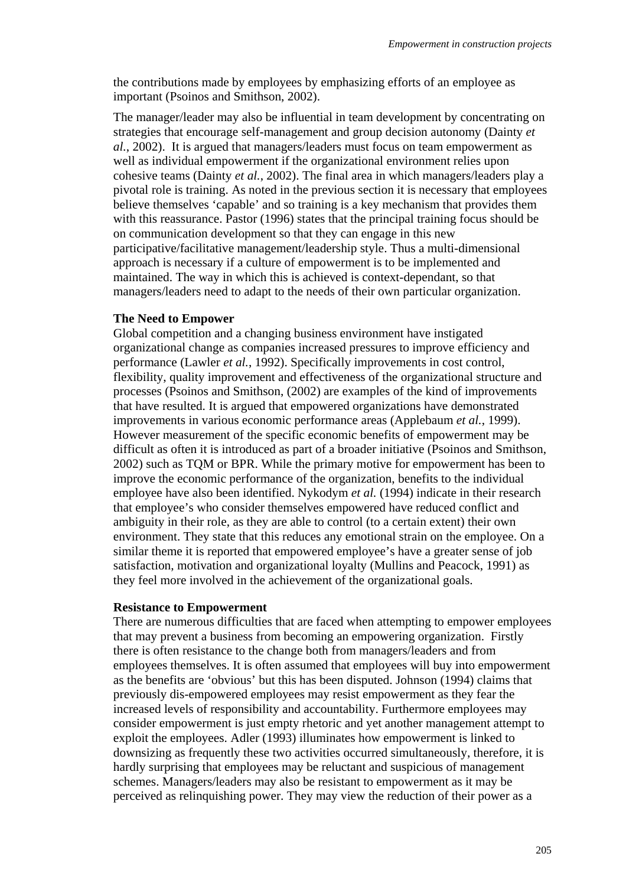the contributions made by employees by emphasizing efforts of an employee as important (Psoinos and Smithson, 2002).

The manager/leader may also be influential in team development by concentrating on strategies that encourage self-management and group decision autonomy (Dainty *et al.*, 2002). It is argued that managers/leaders must focus on team empowerment as well as individual empowerment if the organizational environment relies upon cohesive teams (Dainty *et al.*, 2002). The final area in which managers/leaders play a pivotal role is training. As noted in the previous section it is necessary that employees believe themselves 'capable' and so training is a key mechanism that provides them with this reassurance. Pastor (1996) states that the principal training focus should be on communication development so that they can engage in this new participative/facilitative management/leadership style. Thus a multi-dimensional approach is necessary if a culture of empowerment is to be implemented and maintained. The way in which this is achieved is context-dependant, so that managers/leaders need to adapt to the needs of their own particular organization.

#### **The Need to Empower**

Global competition and a changing business environment have instigated organizational change as companies increased pressures to improve efficiency and performance (Lawler *et al.*, 1992). Specifically improvements in cost control, flexibility, quality improvement and effectiveness of the organizational structure and processes (Psoinos and Smithson, (2002) are examples of the kind of improvements that have resulted. It is argued that empowered organizations have demonstrated improvements in various economic performance areas (Applebaum *et al.*, 1999). However measurement of the specific economic benefits of empowerment may be difficult as often it is introduced as part of a broader initiative (Psoinos and Smithson, 2002) such as TQM or BPR. While the primary motive for empowerment has been to improve the economic performance of the organization, benefits to the individual employee have also been identified. Nykodym *et al.* (1994) indicate in their research that employee's who consider themselves empowered have reduced conflict and ambiguity in their role, as they are able to control (to a certain extent) their own environment. They state that this reduces any emotional strain on the employee. On a similar theme it is reported that empowered employee's have a greater sense of job satisfaction, motivation and organizational loyalty (Mullins and Peacock, 1991) as they feel more involved in the achievement of the organizational goals.

#### **Resistance to Empowerment**

There are numerous difficulties that are faced when attempting to empower employees that may prevent a business from becoming an empowering organization. Firstly there is often resistance to the change both from managers/leaders and from employees themselves. It is often assumed that employees will buy into empowerment as the benefits are 'obvious' but this has been disputed. Johnson (1994) claims that previously dis-empowered employees may resist empowerment as they fear the increased levels of responsibility and accountability. Furthermore employees may consider empowerment is just empty rhetoric and yet another management attempt to exploit the employees. Adler (1993) illuminates how empowerment is linked to downsizing as frequently these two activities occurred simultaneously, therefore, it is hardly surprising that employees may be reluctant and suspicious of management schemes. Managers/leaders may also be resistant to empowerment as it may be perceived as relinquishing power. They may view the reduction of their power as a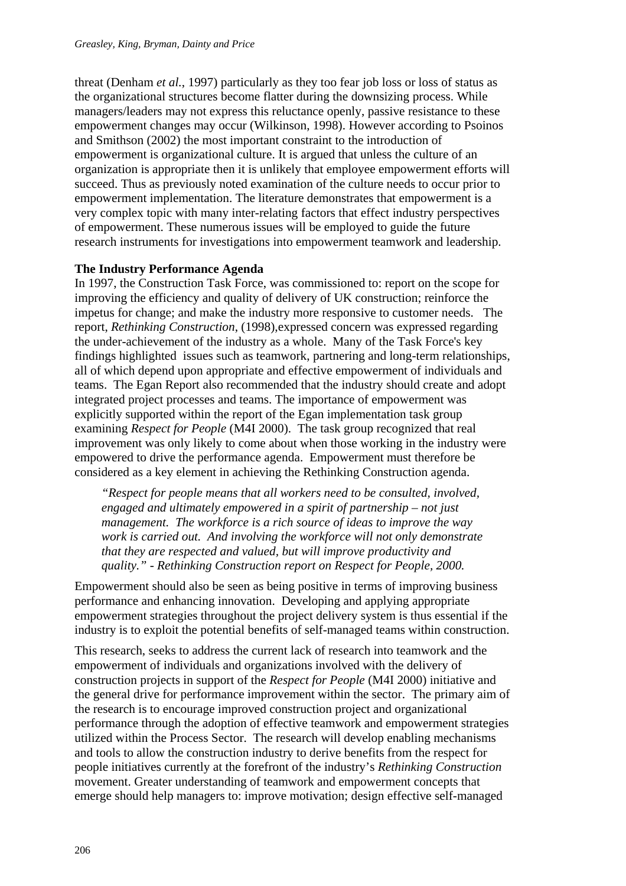threat (Denham *et al.*, 1997) particularly as they too fear job loss or loss of status as the organizational structures become flatter during the downsizing process. While managers/leaders may not express this reluctance openly, passive resistance to these empowerment changes may occur (Wilkinson, 1998). However according to Psoinos and Smithson (2002) the most important constraint to the introduction of empowerment is organizational culture. It is argued that unless the culture of an organization is appropriate then it is unlikely that employee empowerment efforts will succeed. Thus as previously noted examination of the culture needs to occur prior to empowerment implementation. The literature demonstrates that empowerment is a very complex topic with many inter-relating factors that effect industry perspectives of empowerment. These numerous issues will be employed to guide the future research instruments for investigations into empowerment teamwork and leadership.

#### **The Industry Performance Agenda**

In 1997, the Construction Task Force, was commissioned to: report on the scope for improving the efficiency and quality of delivery of UK construction; reinforce the impetus for change; and make the industry more responsive to customer needs. The report, *Rethinking Construction*, (1998),expressed concern was expressed regarding the under-achievement of the industry as a whole. Many of the Task Force's key findings highlighted issues such as teamwork, partnering and long-term relationships, all of which depend upon appropriate and effective empowerment of individuals and teams. The Egan Report also recommended that the industry should create and adopt integrated project processes and teams. The importance of empowerment was explicitly supported within the report of the Egan implementation task group examining *Respect for People* (M4I 2000). The task group recognized that real improvement was only likely to come about when those working in the industry were empowered to drive the performance agenda. Empowerment must therefore be considered as a key element in achieving the Rethinking Construction agenda.

*"Respect for people means that all workers need to be consulted, involved, engaged and ultimately empowered in a spirit of partnership – not just management. The workforce is a rich source of ideas to improve the way work is carried out. And involving the workforce will not only demonstrate that they are respected and valued, but will improve productivity and quality." - Rethinking Construction report on Respect for People, 2000.* 

Empowerment should also be seen as being positive in terms of improving business performance and enhancing innovation. Developing and applying appropriate empowerment strategies throughout the project delivery system is thus essential if the industry is to exploit the potential benefits of self-managed teams within construction.

This research, seeks to address the current lack of research into teamwork and the empowerment of individuals and organizations involved with the delivery of construction projects in support of the *Respect for People* (M4I 2000) initiative and the general drive for performance improvement within the sector. The primary aim of the research is to encourage improved construction project and organizational performance through the adoption of effective teamwork and empowerment strategies utilized within the Process Sector. The research will develop enabling mechanisms and tools to allow the construction industry to derive benefits from the respect for people initiatives currently at the forefront of the industry's *Rethinking Construction* movement. Greater understanding of teamwork and empowerment concepts that emerge should help managers to: improve motivation; design effective self-managed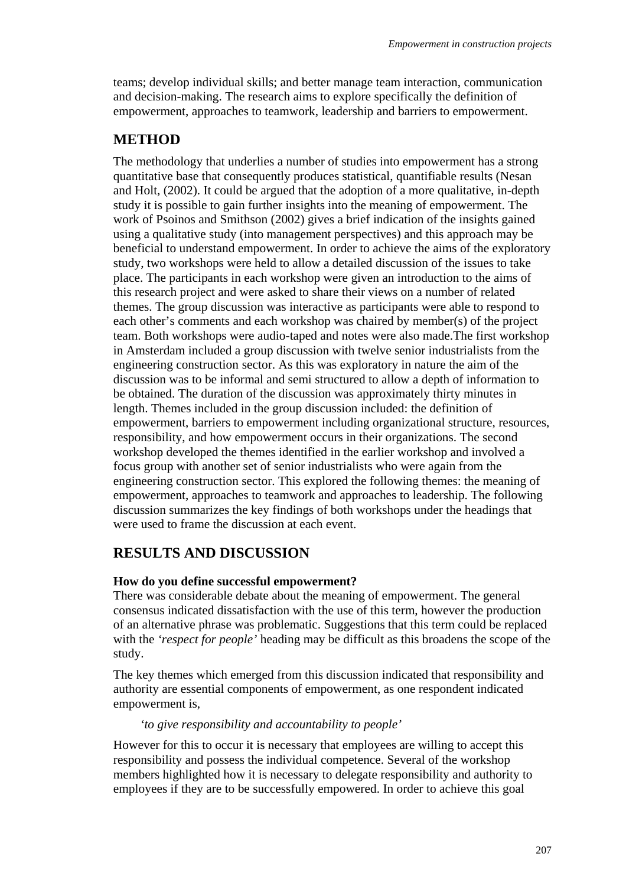teams; develop individual skills; and better manage team interaction, communication and decision-making. The research aims to explore specifically the definition of empowerment, approaches to teamwork, leadership and barriers to empowerment.

### **METHOD**

The methodology that underlies a number of studies into empowerment has a strong quantitative base that consequently produces statistical, quantifiable results (Nesan and Holt, (2002). It could be argued that the adoption of a more qualitative, in-depth study it is possible to gain further insights into the meaning of empowerment. The work of Psoinos and Smithson (2002) gives a brief indication of the insights gained using a qualitative study (into management perspectives) and this approach may be beneficial to understand empowerment. In order to achieve the aims of the exploratory study, two workshops were held to allow a detailed discussion of the issues to take place. The participants in each workshop were given an introduction to the aims of this research project and were asked to share their views on a number of related themes. The group discussion was interactive as participants were able to respond to each other's comments and each workshop was chaired by member(s) of the project team. Both workshops were audio-taped and notes were also made.The first workshop in Amsterdam included a group discussion with twelve senior industrialists from the engineering construction sector. As this was exploratory in nature the aim of the discussion was to be informal and semi structured to allow a depth of information to be obtained. The duration of the discussion was approximately thirty minutes in length. Themes included in the group discussion included: the definition of empowerment, barriers to empowerment including organizational structure, resources, responsibility, and how empowerment occurs in their organizations. The second workshop developed the themes identified in the earlier workshop and involved a focus group with another set of senior industrialists who were again from the engineering construction sector. This explored the following themes: the meaning of empowerment, approaches to teamwork and approaches to leadership. The following discussion summarizes the key findings of both workshops under the headings that were used to frame the discussion at each event.

### **RESULTS AND DISCUSSION**

#### **How do you define successful empowerment?**

There was considerable debate about the meaning of empowerment. The general consensus indicated dissatisfaction with the use of this term, however the production of an alternative phrase was problematic. Suggestions that this term could be replaced with the *'respect for people'* heading may be difficult as this broadens the scope of the study.

The key themes which emerged from this discussion indicated that responsibility and authority are essential components of empowerment, as one respondent indicated empowerment is,

#### *'to give responsibility and accountability to people'*

However for this to occur it is necessary that employees are willing to accept this responsibility and possess the individual competence. Several of the workshop members highlighted how it is necessary to delegate responsibility and authority to employees if they are to be successfully empowered. In order to achieve this goal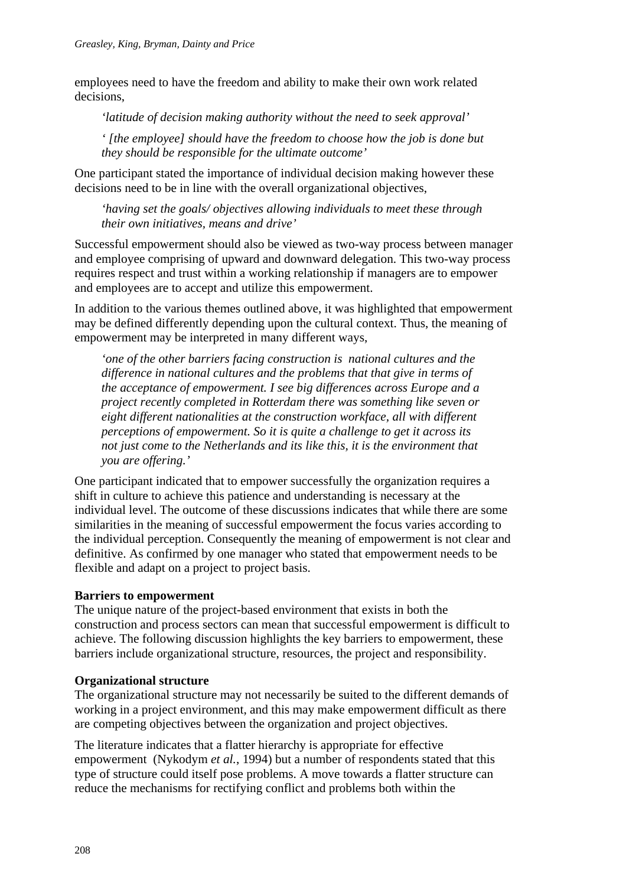employees need to have the freedom and ability to make their own work related decisions,

*'latitude of decision making authority without the need to seek approval'* 

*' [the employee] should have the freedom to choose how the job is done but they should be responsible for the ultimate outcome'* 

One participant stated the importance of individual decision making however these decisions need to be in line with the overall organizational objectives,

*'having set the goals/ objectives allowing individuals to meet these through their own initiatives, means and drive'* 

Successful empowerment should also be viewed as two-way process between manager and employee comprising of upward and downward delegation. This two-way process requires respect and trust within a working relationship if managers are to empower and employees are to accept and utilize this empowerment.

In addition to the various themes outlined above, it was highlighted that empowerment may be defined differently depending upon the cultural context. Thus, the meaning of empowerment may be interpreted in many different ways,

*'one of the other barriers facing construction is national cultures and the difference in national cultures and the problems that that give in terms of the acceptance of empowerment. I see big differences across Europe and a project recently completed in Rotterdam there was something like seven or eight different nationalities at the construction workface, all with different perceptions of empowerment. So it is quite a challenge to get it across its not just come to the Netherlands and its like this, it is the environment that you are offering.'* 

One participant indicated that to empower successfully the organization requires a shift in culture to achieve this patience and understanding is necessary at the individual level. The outcome of these discussions indicates that while there are some similarities in the meaning of successful empowerment the focus varies according to the individual perception. Consequently the meaning of empowerment is not clear and definitive. As confirmed by one manager who stated that empowerment needs to be flexible and adapt on a project to project basis.

#### **Barriers to empowerment**

The unique nature of the project-based environment that exists in both the construction and process sectors can mean that successful empowerment is difficult to achieve. The following discussion highlights the key barriers to empowerment, these barriers include organizational structure, resources, the project and responsibility.

#### **Organizational structure**

The organizational structure may not necessarily be suited to the different demands of working in a project environment, and this may make empowerment difficult as there are competing objectives between the organization and project objectives.

The literature indicates that a flatter hierarchy is appropriate for effective empowerment (Nykodym *et al.*, 1994) but a number of respondents stated that this type of structure could itself pose problems. A move towards a flatter structure can reduce the mechanisms for rectifying conflict and problems both within the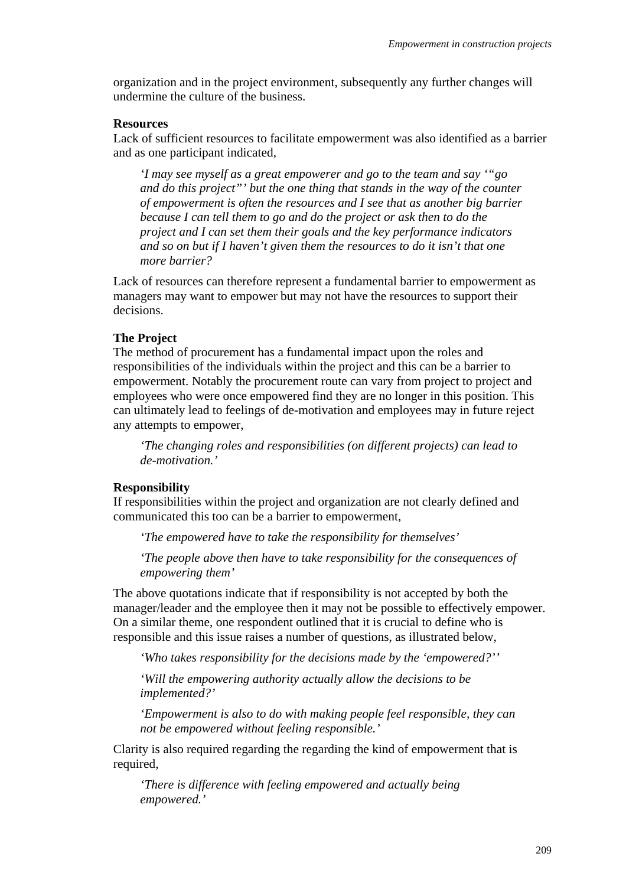organization and in the project environment, subsequently any further changes will undermine the culture of the business.

#### **Resources**

Lack of sufficient resources to facilitate empowerment was also identified as a barrier and as one participant indicated,

*'I may see myself as a great empowerer and go to the team and say '"go and do this project"' but the one thing that stands in the way of the counter of empowerment is often the resources and I see that as another big barrier because I can tell them to go and do the project or ask then to do the project and I can set them their goals and the key performance indicators and so on but if I haven't given them the resources to do it isn't that one more barrier?* 

Lack of resources can therefore represent a fundamental barrier to empowerment as managers may want to empower but may not have the resources to support their decisions.

#### **The Project**

The method of procurement has a fundamental impact upon the roles and responsibilities of the individuals within the project and this can be a barrier to empowerment. Notably the procurement route can vary from project to project and employees who were once empowered find they are no longer in this position. This can ultimately lead to feelings of de-motivation and employees may in future reject any attempts to empower,

*'The changing roles and responsibilities (on different projects) can lead to de-motivation.'* 

#### **Responsibility**

If responsibilities within the project and organization are not clearly defined and communicated this too can be a barrier to empowerment,

*'The empowered have to take the responsibility for themselves'* 

*'The people above then have to take responsibility for the consequences of empowering them'* 

The above quotations indicate that if responsibility is not accepted by both the manager/leader and the employee then it may not be possible to effectively empower. On a similar theme, one respondent outlined that it is crucial to define who is responsible and this issue raises a number of questions, as illustrated below,

*'Who takes responsibility for the decisions made by the 'empowered?''* 

*'Will the empowering authority actually allow the decisions to be implemented?'* 

*'Empowerment is also to do with making people feel responsible, they can not be empowered without feeling responsible.'* 

Clarity is also required regarding the regarding the kind of empowerment that is required,

*'There is difference with feeling empowered and actually being empowered.'*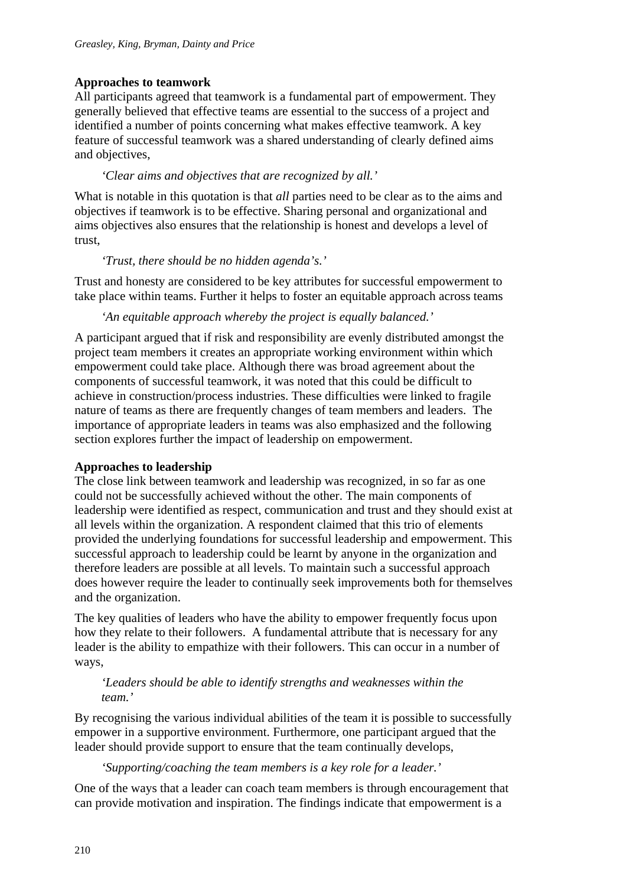### **Approaches to teamwork**

All participants agreed that teamwork is a fundamental part of empowerment. They generally believed that effective teams are essential to the success of a project and identified a number of points concerning what makes effective teamwork. A key feature of successful teamwork was a shared understanding of clearly defined aims and objectives,

### *'Clear aims and objectives that are recognized by all.'*

What is notable in this quotation is that *all* parties need to be clear as to the aims and objectives if teamwork is to be effective. Sharing personal and organizational and aims objectives also ensures that the relationship is honest and develops a level of trust,

### *'Trust, there should be no hidden agenda's.'*

Trust and honesty are considered to be key attributes for successful empowerment to take place within teams. Further it helps to foster an equitable approach across teams

*'An equitable approach whereby the project is equally balanced.'* 

A participant argued that if risk and responsibility are evenly distributed amongst the project team members it creates an appropriate working environment within which empowerment could take place. Although there was broad agreement about the components of successful teamwork, it was noted that this could be difficult to achieve in construction/process industries. These difficulties were linked to fragile nature of teams as there are frequently changes of team members and leaders. The importance of appropriate leaders in teams was also emphasized and the following section explores further the impact of leadership on empowerment.

### **Approaches to leadership**

The close link between teamwork and leadership was recognized, in so far as one could not be successfully achieved without the other. The main components of leadership were identified as respect, communication and trust and they should exist at all levels within the organization. A respondent claimed that this trio of elements provided the underlying foundations for successful leadership and empowerment. This successful approach to leadership could be learnt by anyone in the organization and therefore leaders are possible at all levels. To maintain such a successful approach does however require the leader to continually seek improvements both for themselves and the organization.

The key qualities of leaders who have the ability to empower frequently focus upon how they relate to their followers. A fundamental attribute that is necessary for any leader is the ability to empathize with their followers. This can occur in a number of ways,

#### *'Leaders should be able to identify strengths and weaknesses within the team.'*

By recognising the various individual abilities of the team it is possible to successfully empower in a supportive environment. Furthermore, one participant argued that the leader should provide support to ensure that the team continually develops,

*'Supporting/coaching the team members is a key role for a leader.'* 

One of the ways that a leader can coach team members is through encouragement that can provide motivation and inspiration. The findings indicate that empowerment is a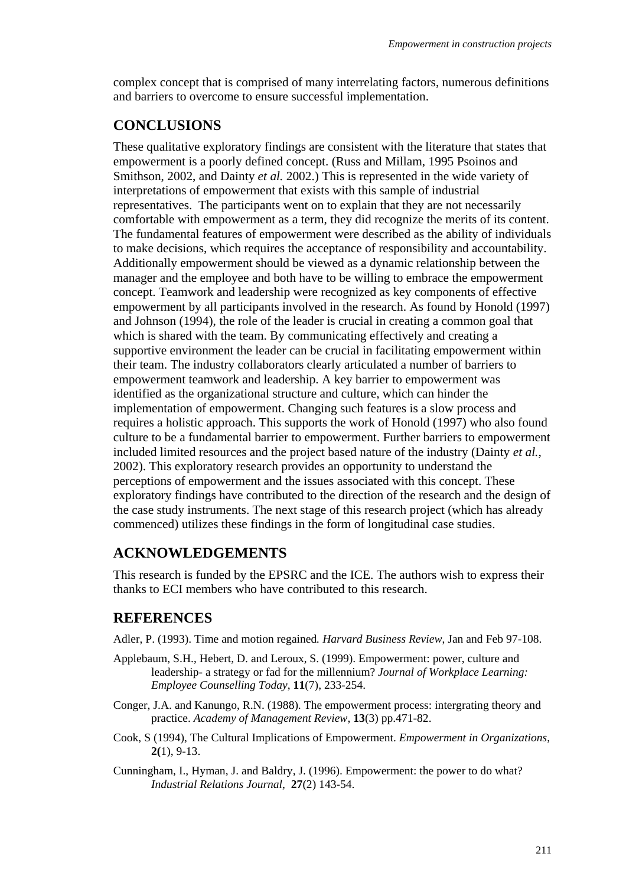complex concept that is comprised of many interrelating factors, numerous definitions and barriers to overcome to ensure successful implementation.

## **CONCLUSIONS**

These qualitative exploratory findings are consistent with the literature that states that empowerment is a poorly defined concept. (Russ and Millam, 1995 Psoinos and Smithson, 2002, and Dainty *et al.* 2002.) This is represented in the wide variety of interpretations of empowerment that exists with this sample of industrial representatives. The participants went on to explain that they are not necessarily comfortable with empowerment as a term, they did recognize the merits of its content. The fundamental features of empowerment were described as the ability of individuals to make decisions, which requires the acceptance of responsibility and accountability. Additionally empowerment should be viewed as a dynamic relationship between the manager and the employee and both have to be willing to embrace the empowerment concept. Teamwork and leadership were recognized as key components of effective empowerment by all participants involved in the research. As found by Honold (1997) and Johnson (1994), the role of the leader is crucial in creating a common goal that which is shared with the team. By communicating effectively and creating a supportive environment the leader can be crucial in facilitating empowerment within their team. The industry collaborators clearly articulated a number of barriers to empowerment teamwork and leadership. A key barrier to empowerment was identified as the organizational structure and culture, which can hinder the implementation of empowerment. Changing such features is a slow process and requires a holistic approach. This supports the work of Honold (1997) who also found culture to be a fundamental barrier to empowerment. Further barriers to empowerment included limited resources and the project based nature of the industry (Dainty *et al.*, 2002). This exploratory research provides an opportunity to understand the perceptions of empowerment and the issues associated with this concept. These exploratory findings have contributed to the direction of the research and the design of the case study instruments. The next stage of this research project (which has already commenced) utilizes these findings in the form of longitudinal case studies.

# **ACKNOWLEDGEMENTS**

This research is funded by the EPSRC and the ICE. The authors wish to express their thanks to ECI members who have contributed to this research.

### **REFERENCES**

Adler, P. (1993). Time and motion regained*. Harvard Business Review*, Jan and Feb 97-108.

- Applebaum, S.H., Hebert, D. and Leroux, S. (1999). Empowerment: power, culture and leadership- a strategy or fad for the millennium? *Journal of Workplace Learning: Employee Counselling Today*, **11**(7), 233-254.
- Conger, J.A. and Kanungo, R.N. (1988). The empowerment process: intergrating theory and practice. *Academy of Management Review*, **13**(3) pp.471-82.
- Cook, S (1994), The Cultural Implications of Empowerment. *Empowerment in Organizations*, **2(**1), 9-13.
- Cunningham, I., Hyman, J. and Baldry, J. (1996). Empowerment: the power to do what? *Industrial Relations Journal*, **27**(2) 143-54.